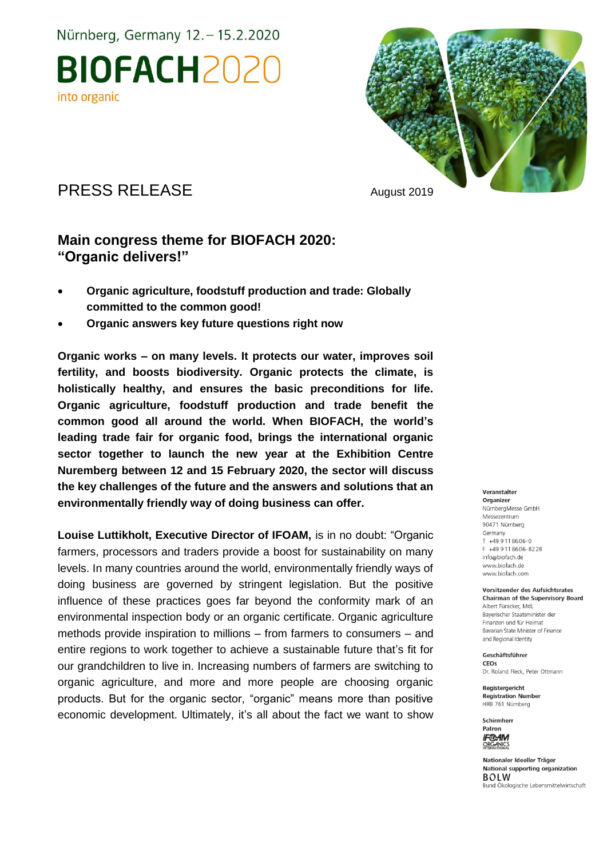Nürnberg, Germany 12. - 15.2.2020





# PRESS RELEASE August 2019

### **Main congress theme for BIOFACH 2020: "Organic delivers!"**

- **Organic agriculture, foodstuff production and trade: Globally committed to the common good!**
- **Organic answers key future questions right now**

**Organic works – on many levels. It protects our water, improves soil fertility, and boosts biodiversity. Organic protects the climate, is holistically healthy, and ensures the basic preconditions for life. Organic agriculture, foodstuff production and trade benefit the common good all around the world. When BIOFACH, the world's leading trade fair for organic food, brings the international organic sector together to launch the new year at the Exhibition Centre Nuremberg between 12 and 15 February 2020, the sector will discuss the key challenges of the future and the answers and solutions that an environmentally friendly way of doing business can offer.** 

Louise Luttikholt, Executive Director of IFOAM, is in no doubt: "Organic farmers, processors and traders provide a boost for sustainability on many levels. In many countries around the world, environmentally friendly ways of doing business are governed by stringent legislation. But the positive influence of these practices goes far beyond the conformity mark of an environmental inspection body or an organic certificate. Organic agriculture methods provide inspiration to millions – from farmers to consumers – and entire regions to work together to achieve a sustainable future that's fit for our grandchildren to live in. Increasing numbers of farmers are switching to organic agriculture, and more and more people are choosing organic products. But for the organic sector, "organic" means more than positive economic development. Ultimately, it's all about the fact we want to show

#### Veranstalter

Organizer NürnbergMesse GmbH Messezentrum 90471 Nürnberg Germany  $T + 499118606 - 0$ F +49 9 11 8 6 0 6 - 8 2 2 8 info@biofach.de www.biofach.de www.biofach.com

Vorsitzender des Aufsichtsrates **Chairman of the Supervisory Board** Albert Füracker, MdL Baverischer Staatsminister de Finanzen und für Heimat Bavarian State Minister of Finance and Regional Identity

Geschäftsführer CEOs Dr. Roland Fleck, Peter Ottmann

Reaisteraericht **Registration Number** HRB 761 Nürnberg



Nationaler Ideeller Träger National supporting organization **BOLW** Bund Ökologische Lebensmittelwirtschaft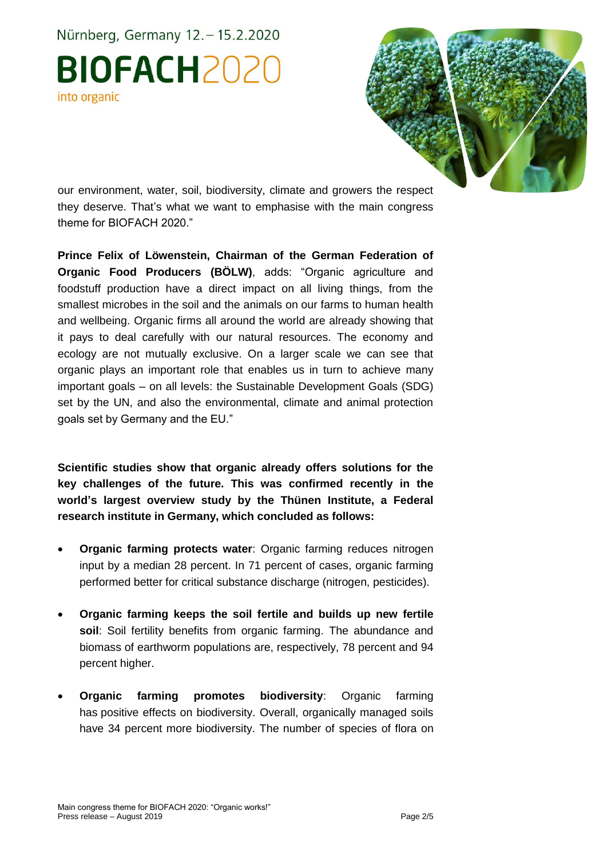Nürnberg, Germany 12. - 15.2.2020 **BIOFACH2020** into organic



our environment, water, soil, biodiversity, climate and growers the respect they deserve. That's what we want to emphasise with the main congress theme for BIOFACH 2020."

**Prince Felix of Löwenstein, Chairman of the German Federation of Organic Food Producers (BÖLW)**, adds: "Organic agriculture and foodstuff production have a direct impact on all living things, from the smallest microbes in the soil and the animals on our farms to human health and wellbeing. Organic firms all around the world are already showing that it pays to deal carefully with our natural resources. The economy and ecology are not mutually exclusive. On a larger scale we can see that organic plays an important role that enables us in turn to achieve many important goals – on all levels: the Sustainable Development Goals (SDG) set by the UN, and also the environmental, climate and animal protection goals set by Germany and the EU."

**Scientific studies show that organic already offers solutions for the key challenges of the future. This was confirmed recently in the world's largest overview study by the Thünen Institute, a Federal research institute in Germany, which concluded as follows:** 

- **Organic farming protects water**: Organic farming reduces nitrogen input by a median 28 percent. In 71 percent of cases, organic farming performed better for critical substance discharge (nitrogen, pesticides).
- **Organic farming keeps the soil fertile and builds up new fertile soil**: Soil fertility benefits from organic farming. The abundance and biomass of earthworm populations are, respectively, 78 percent and 94 percent higher.
- **Organic farming promotes biodiversity**: Organic farming has positive effects on biodiversity. Overall, organically managed soils have 34 percent more biodiversity. The number of species of flora on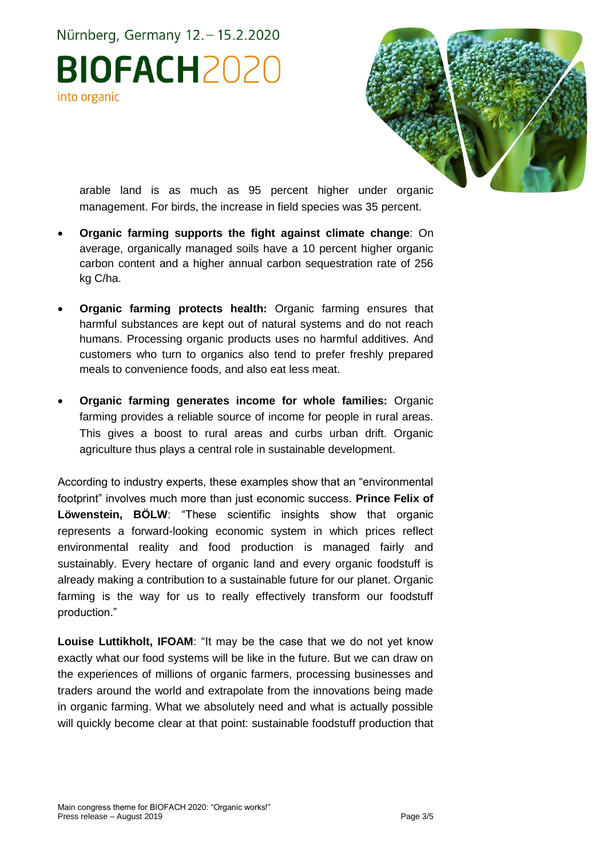Nürnberg, Germany 12. - 15.2.2020

**BIOFACH2020** into organic



arable land is as much as 95 percent higher under organic management. For birds, the increase in field species was 35 percent.

- **Organic farming supports the fight against climate change**: On average, organically managed soils have a 10 percent higher organic carbon content and a higher annual carbon sequestration rate of 256 kg C/ha.
- **Organic farming protects health:** Organic farming ensures that harmful substances are kept out of natural systems and do not reach humans. Processing organic products uses no harmful additives. And customers who turn to organics also tend to prefer freshly prepared meals to convenience foods, and also eat less meat.
- **Organic farming generates income for whole families:** Organic farming provides a reliable source of income for people in rural areas. This gives a boost to rural areas and curbs urban drift. Organic agriculture thus plays a central role in sustainable development.

According to industry experts, these examples show that an "environmental footprint" involves much more than just economic success. **Prince Felix of Löwenstein, BÖLW**: "These scientific insights show that organic represents a forward-looking economic system in which prices reflect environmental reality and food production is managed fairly and sustainably. Every hectare of organic land and every organic foodstuff is already making a contribution to a sustainable future for our planet. Organic farming is the way for us to really effectively transform our foodstuff production."

**Louise Luttikholt, IFOAM**: "It may be the case that we do not yet know exactly what our food systems will be like in the future. But we can draw on the experiences of millions of organic farmers, processing businesses and traders around the world and extrapolate from the innovations being made in organic farming. What we absolutely need and what is actually possible will quickly become clear at that point: sustainable foodstuff production that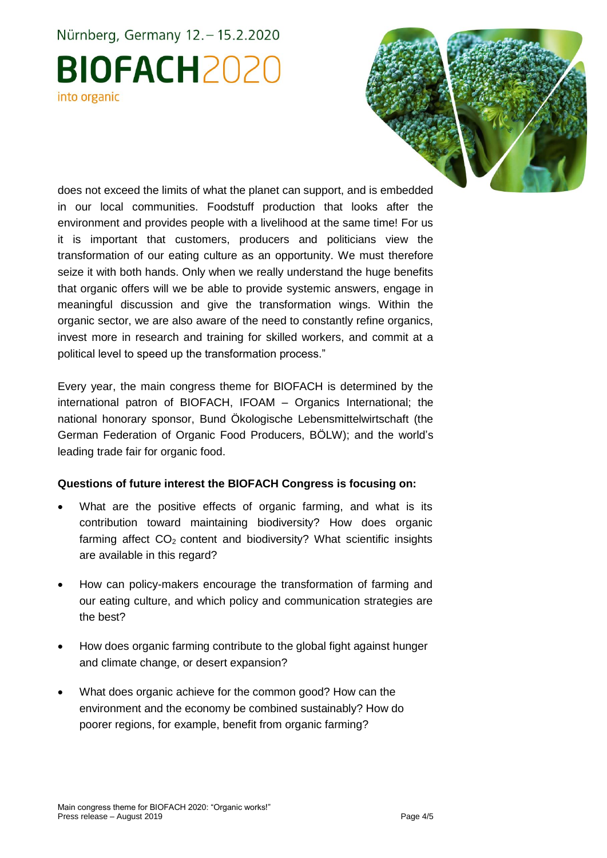# Nürnberg, Germany 12. - 15.2.2020 **BIOFACH2020** into organic



does not exceed the limits of what the planet can support, and is embedded in our local communities. Foodstuff production that looks after the environment and provides people with a livelihood at the same time! For us it is important that customers, producers and politicians view the transformation of our eating culture as an opportunity. We must therefore seize it with both hands. Only when we really understand the huge benefits that organic offers will we be able to provide systemic answers, engage in meaningful discussion and give the transformation wings. Within the organic sector, we are also aware of the need to constantly refine organics, invest more in research and training for skilled workers, and commit at a political level to speed up the transformation process."

Every year, the main congress theme for BIOFACH is determined by the international patron of BIOFACH, IFOAM – Organics International; the national honorary sponsor, Bund Ökologische Lebensmittelwirtschaft (the German Federation of Organic Food Producers, BÖLW); and the world's leading trade fair for organic food.

#### **Questions of future interest the BIOFACH Congress is focusing on:**

- What are the positive effects of organic farming, and what is its contribution toward maintaining biodiversity? How does organic farming affect CO<sub>2</sub> content and biodiversity? What scientific insights are available in this regard?
- How can policy-makers encourage the transformation of farming and our eating culture, and which policy and communication strategies are the best?
- How does organic farming contribute to the global fight against hunger and climate change, or desert expansion?
- What does organic achieve for the common good? How can the environment and the economy be combined sustainably? How do poorer regions, for example, benefit from organic farming?